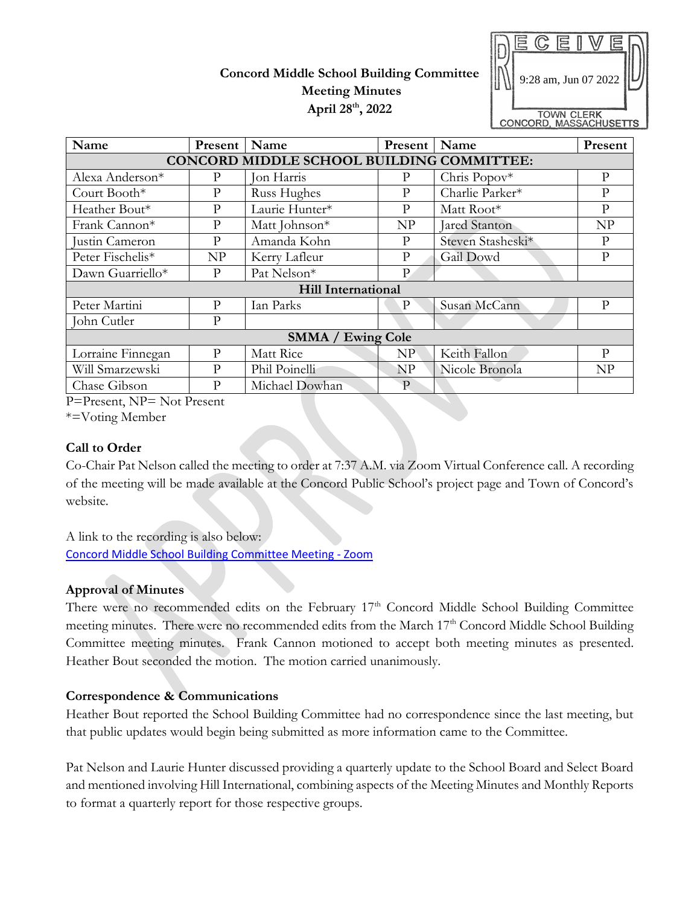# **Concord Middle School Building Committee Meeting Minutes April 28th, 2022**



| Name                                      | Present      | Name           | Present     | Name              | Present      |
|-------------------------------------------|--------------|----------------|-------------|-------------------|--------------|
| CONCORD MIDDLE SCHOOL BUILDING COMMITTEE: |              |                |             |                   |              |
| Alexa Anderson*                           | P            | Jon Harris     | P           | Chris Popov*      | P            |
| Court Booth*                              | P            | Russ Hughes    | P           | Charlie Parker*   | $\mathbf{P}$ |
| Heather Bout*                             | P            | Laurie Hunter* | P           | Matt Root*        | P            |
| Frank Cannon*                             | $\mathbf{P}$ | Matt Johnson*  | NP          | Jared Stanton     | NP           |
| Justin Cameron                            | P            | Amanda Kohn    | P           | Steven Stasheski* | P            |
| Peter Fischelis*                          | NP           | Kerry Lafleur  | P           | Gail Dowd         | P            |
| Dawn Guarriello*                          | P            | Pat Nelson*    | P           |                   |              |
| <b>Hill International</b>                 |              |                |             |                   |              |
| Peter Martini                             | P            | Ian Parks      | P           | Susan McCann      | P            |
| John Cutler                               | P            |                |             |                   |              |
| <b>SMMA / Ewing Cole</b>                  |              |                |             |                   |              |
| Lorraine Finnegan                         | P            | Matt Rice      | NP          | Keith Fallon      | P            |
| Will Smarzewski                           | P            | Phil Poinelli  | <b>NP</b>   | Nicole Bronola    | NP           |
| Chase Gibson<br>$\sim$ $\sim$             | P            | Michael Dowhan | $\mathbf P$ |                   |              |

P=Present, NP= Not Present

\*=Voting Member

#### **Call to Order**

Co-Chair Pat Nelson called the meeting to order at 7:37 A.M. via Zoom Virtual Conference call. A recording of the meeting will be made available at the Concord Public School's project page and Town of Concord's website.

A link to the recording is also below: [Concord Middle School Building Committee Meeting -](https://us02web.zoom.us/rec/play/tlpTvFhoOE8Lq7F1ZLHiyzql8-JSjwDHzOXKSE7fk3VGyBH-SNK5fQoNyZJ9UVq9habQlVD5vbfhSxUv.aQ9UJJztfDeRyk9l?continueMode=true) Zoom

### **Approval of Minutes**

There were no recommended edits on the February 17<sup>th</sup> Concord Middle School Building Committee meeting minutes. There were no recommended edits from the March  $17<sup>th</sup>$  Concord Middle School Building Committee meeting minutes. Frank Cannon motioned to accept both meeting minutes as presented. Heather Bout seconded the motion. The motion carried unanimously.

### **Correspondence & Communications**

Heather Bout reported the School Building Committee had no correspondence since the last meeting, but that public updates would begin being submitted as more information came to the Committee.

Pat Nelson and Laurie Hunter discussed providing a quarterly update to the School Board and Select Board and mentioned involving Hill International, combining aspects of the Meeting Minutes and Monthly Reports to format a quarterly report for those respective groups.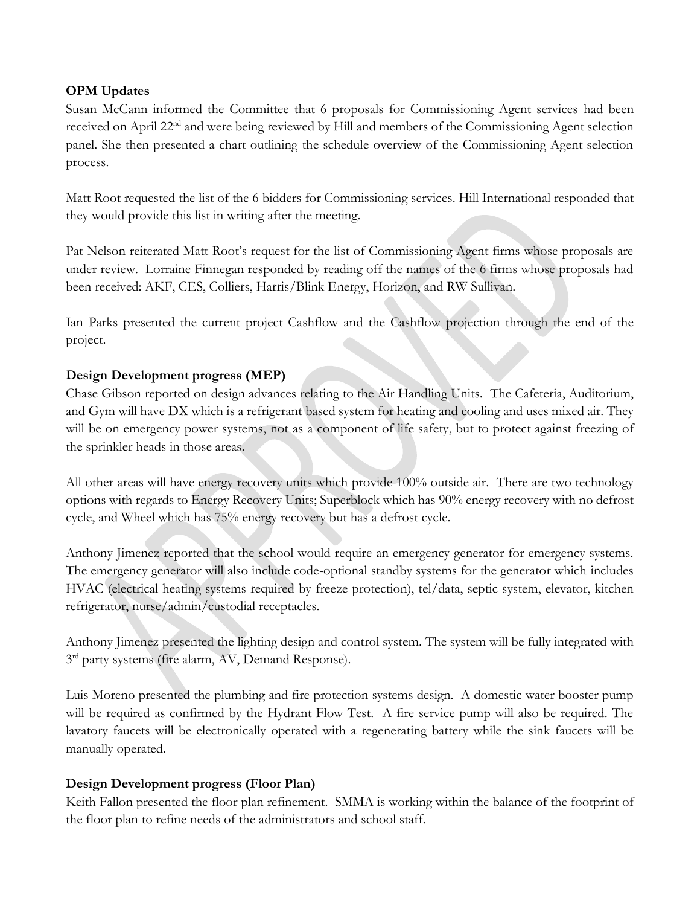### **OPM Updates**

Susan McCann informed the Committee that 6 proposals for Commissioning Agent services had been received on April 22nd and were being reviewed by Hill and members of the Commissioning Agent selection panel. She then presented a chart outlining the schedule overview of the Commissioning Agent selection process.

Matt Root requested the list of the 6 bidders for Commissioning services. Hill International responded that they would provide this list in writing after the meeting.

Pat Nelson reiterated Matt Root's request for the list of Commissioning Agent firms whose proposals are under review. Lorraine Finnegan responded by reading off the names of the 6 firms whose proposals had been received: AKF, CES, Colliers, Harris/Blink Energy, Horizon, and RW Sullivan.

Ian Parks presented the current project Cashflow and the Cashflow projection through the end of the project.

## **Design Development progress (MEP)**

Chase Gibson reported on design advances relating to the Air Handling Units. The Cafeteria, Auditorium, and Gym will have DX which is a refrigerant based system for heating and cooling and uses mixed air. They will be on emergency power systems, not as a component of life safety, but to protect against freezing of the sprinkler heads in those areas.

All other areas will have energy recovery units which provide 100% outside air. There are two technology options with regards to Energy Recovery Units; Superblock which has 90% energy recovery with no defrost cycle, and Wheel which has 75% energy recovery but has a defrost cycle.

Anthony Jimenez reported that the school would require an emergency generator for emergency systems. The emergency generator will also include code-optional standby systems for the generator which includes HVAC (electrical heating systems required by freeze protection), tel/data, septic system, elevator, kitchen refrigerator, nurse/admin/custodial receptacles.

Anthony Jimenez presented the lighting design and control system. The system will be fully integrated with 3<sup>rd</sup> party systems (fire alarm, AV, Demand Response).

Luis Moreno presented the plumbing and fire protection systems design. A domestic water booster pump will be required as confirmed by the Hydrant Flow Test. A fire service pump will also be required. The lavatory faucets will be electronically operated with a regenerating battery while the sink faucets will be manually operated.

### **Design Development progress (Floor Plan)**

Keith Fallon presented the floor plan refinement. SMMA is working within the balance of the footprint of the floor plan to refine needs of the administrators and school staff.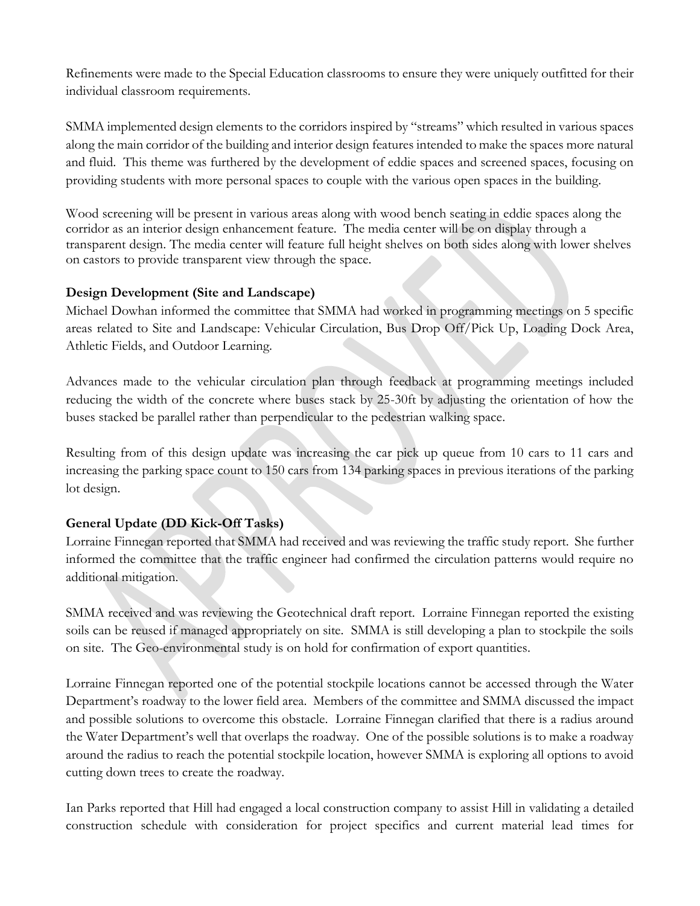Refinements were made to the Special Education classrooms to ensure they were uniquely outfitted for their individual classroom requirements.

SMMA implemented design elements to the corridors inspired by "streams" which resulted in various spaces along the main corridor of the building and interior design features intended to make the spaces more natural and fluid. This theme was furthered by the development of eddie spaces and screened spaces, focusing on providing students with more personal spaces to couple with the various open spaces in the building.

Wood screening will be present in various areas along with wood bench seating in eddie spaces along the corridor as an interior design enhancement feature. The media center will be on display through a transparent design. The media center will feature full height shelves on both sides along with lower shelves on castors to provide transparent view through the space.

### **Design Development (Site and Landscape)**

Michael Dowhan informed the committee that SMMA had worked in programming meetings on 5 specific areas related to Site and Landscape: Vehicular Circulation, Bus Drop Off/Pick Up, Loading Dock Area, Athletic Fields, and Outdoor Learning.

Advances made to the vehicular circulation plan through feedback at programming meetings included reducing the width of the concrete where buses stack by 25-30ft by adjusting the orientation of how the buses stacked be parallel rather than perpendicular to the pedestrian walking space.

Resulting from of this design update was increasing the car pick up queue from 10 cars to 11 cars and increasing the parking space count to 150 cars from 134 parking spaces in previous iterations of the parking lot design.

## **General Update (DD Kick-Off Tasks)**

Lorraine Finnegan reported that SMMA had received and was reviewing the traffic study report. She further informed the committee that the traffic engineer had confirmed the circulation patterns would require no additional mitigation.

SMMA received and was reviewing the Geotechnical draft report. Lorraine Finnegan reported the existing soils can be reused if managed appropriately on site. SMMA is still developing a plan to stockpile the soils on site. The Geo-environmental study is on hold for confirmation of export quantities.

Lorraine Finnegan reported one of the potential stockpile locations cannot be accessed through the Water Department's roadway to the lower field area. Members of the committee and SMMA discussed the impact and possible solutions to overcome this obstacle. Lorraine Finnegan clarified that there is a radius around the Water Department's well that overlaps the roadway. One of the possible solutions is to make a roadway around the radius to reach the potential stockpile location, however SMMA is exploring all options to avoid cutting down trees to create the roadway.

Ian Parks reported that Hill had engaged a local construction company to assist Hill in validating a detailed construction schedule with consideration for project specifics and current material lead times for